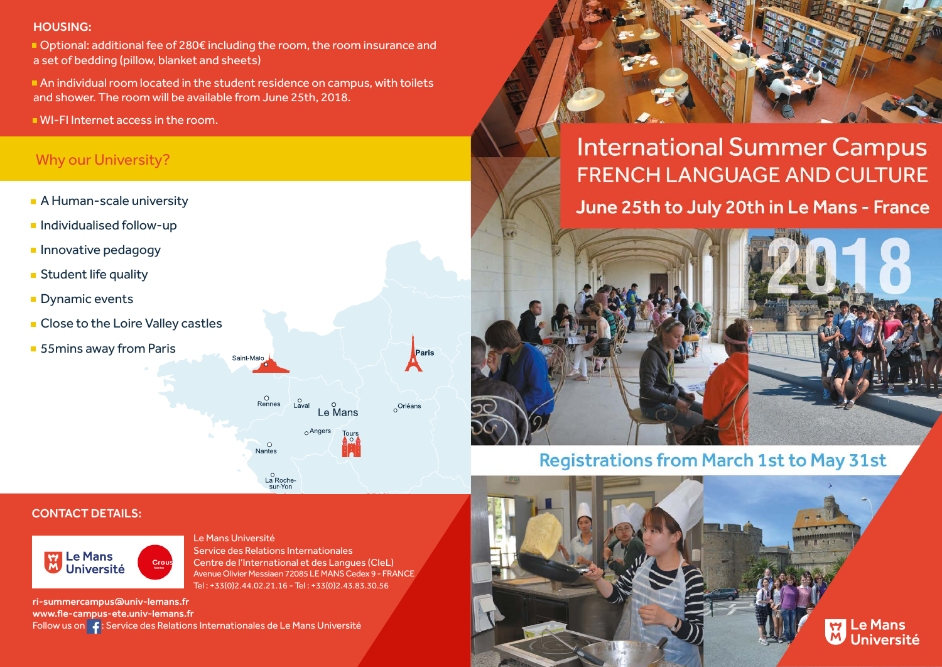#### HOUSING:

■ Optional: additional fee of 280€ including the room, the room insurance and a set of bedding (pillow, blanket and sheets)

 An individual room located in the student residence on campus, with toilets and shower. The room will be available from June 25th, 2018.

Saint-Malo

 $\frac{0}{\text{Rennes}}$ 

**Nantes** 

o<br>La Roche-<br>sur-Yon

 $\int_{\text{Laval}}$ 

 $Le$ <sup>O</sup> Mans

 $_0$  Angers

WI-FI Internet access in the room.

## Why our University?

- **A Human-scale university**
- $\blacksquare$  Individualised follow-up
- **Innovative pedagogy**
- **Student life quality**
- **Dynamic events**
- **Close to the Loire Valley castles**
- 55mins away from Paris





**International Summer Campus FRENCH LANGUAGE AND CULTURE** June 25th to July 20th in Le Mans - France



**Registrations from March 1st to May 31st** 

#### CONTACT DETAILS:



Le Mans Université Service des Relations Internationales Centre de l'International et des Langues (CIeL) Avenue Olivier Messiaen 72085 LE MANS Cedex 9 - FRANCE Tel : +33(0)2.44.02.21.16 - Tel : +33(0)2.43.83.30.56

ri-summercampus@univ-lemans.fr www.fle-campus-ete.univ-lemans.fr Follow us on  $\int f$ : Service des Relations Internationales de Le Mans Université